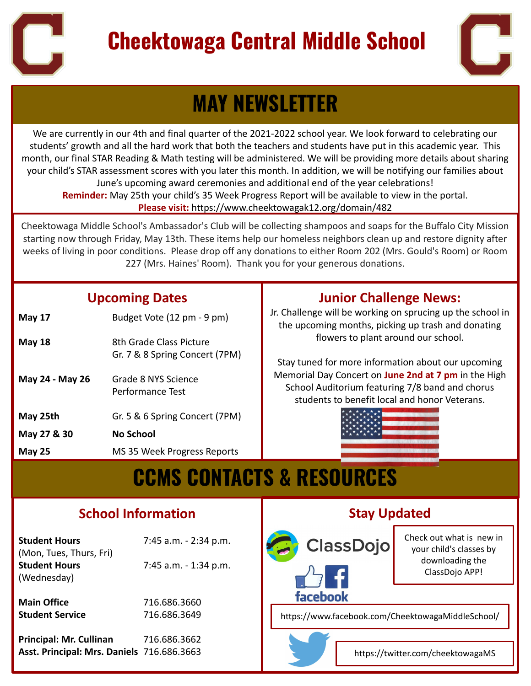

# **Cheektowaga Central Middle School**



# **MAY NEWSLETTER**

We are currently in our 4th and final quarter of the 2021-2022 school year. We look forward to celebrating our students' growth and all the hard work that both the teachers and students have put in this academic year. This month, our final STAR Reading & Math testing will be administered. We will be providing more details about sharing your child's STAR assessment scores with you later this month. In addition, we will be notifying our families about June's upcoming award ceremonies and additional end of the year celebrations! **Reminder:** May 25th your child's 35 Week Progress Report will be available to view in the portal. **Please visit:** <https://www.cheektowagak12.org/domain/482>

Cheektowaga Middle School's Ambassador's Club will be collecting shampoos and soaps for the Buffalo City Mission starting now through Friday, May 13th. These items help our homeless neighbors clean up and restore dignity after weeks of living in poor conditions. Please drop off any donations to either Room 202 (Mrs. Gould's Room) or Room 227 (Mrs. Haines' Room). Thank you for your generous donations.

#### **Upcoming Dates**

| <b>May 17</b>   | Budget Vote (12 pm - 9 pm)                                |
|-----------------|-----------------------------------------------------------|
| <b>May 18</b>   | 8th Grade Class Picture<br>Gr. 7 & 8 Spring Concert (7PM) |
| May 24 - May 26 | Grade 8 NYS Science<br>Performance Test                   |
| May 25th        | Gr. 5 & 6 Spring Concert (7PM)                            |
| May 27 & 30     | No School                                                 |
| <b>May 25</b>   | MS 35 Week Progress Reports                               |

### **Junior Challenge News:**

 the upcoming months, picking up trash and donating Jr. Challenge will be working on sprucing up the school in flowers to plant around our school.

 students to benefit local and honor Veterans. Stay tuned for more information about our upcoming Memorial Day Concert on **June 2nd at 7 pm** in the High School Auditorium featuring 7/8 band and chorus



# **June 19 Grade 8 Science Written Test & Science Written Test & Science Written Test & RESOURCES**

### **School Information**

| <b>Student Hours</b>    | 7:45 a.m. - 2:34 p.m. |
|-------------------------|-----------------------|
| (Mon, Tues, Thurs, Fri) |                       |
| <b>Student Hours</b>    | 7:45 a.m. - 1:34 p.m. |
| (Wednesday)             |                       |
| <b>Main Office</b>      | 716.686.3660          |
| <b>Student Service</b>  | 716.686.3649          |
|                         |                       |

ī

j

**Principal: Mr. Cullinan** 716.686.3662 **Asst. Principal: Mrs. Daniels** 716.686.3663

### **Stay Updated**



Check out what is new in your child's classes by downloading the ClassDojo APP!

https://www.facebook.com/CheektowagaMiddleSchool/



https://twitter.com/cheektowagaMS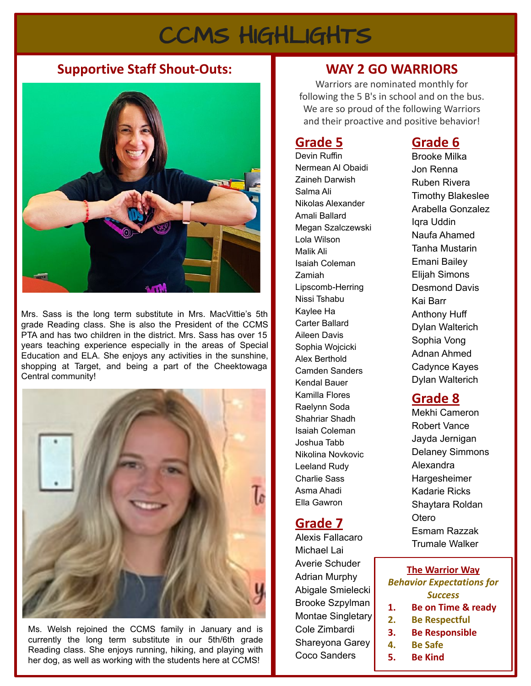# CCMS HIGHLIGHTS

#### **Supportive Staff Shout-Outs: WAY 2 GO WARRIORS**



Mrs. Sass is the long term substitute in Mrs. MacVittie's 5th grade Reading class. She is also the President of the CCMS PTA and has two children in the district. Mrs. Sass has over 15 years teaching experience especially in the areas of Special Education and ELA. She enjoys any activities in the sunshine, shopping at Target, and being a part of the Cheektowaga Central community!



Ms. Welsh rejoined the CCMS family in January and is currently the long term substitute in our 5th/6th grade Reading class. She enjoys running, hiking, and playing with her dog, as well as working with the students here at CCMS!

Warriors are nominated monthly for following the 5 B's in school and on the bus. We are so proud of the following Warriors and their proactive and positive behavior!

### **Grade 5**

Devin Ruffin Nermean Al Obaidi Zaineh Darwish Salma Ali Nikolas Alexander Amali Ballard Megan Szalczewski Lola Wilson Malik Ali Isaiah Coleman Zamiah Lipscomb-Herring Nissi Tshabu Kaylee Ha Carter Ballard Aileen Davis Sophia Wojcicki Alex Berthold Camden Sanders Kendal Bauer Kamilla Flores Raelynn Soda Shahriar Shadh Isaiah Coleman Joshua Tabb Nikolina Novkovic Leeland Rudy Charlie Sass Asma Ahadi Ella Gawron

### **Grade 7**

Alexis Fallacaro Michael Lai Averie Schuder Adrian Murphy Abigale Smielecki Brooke Szpylman Montae Singletary Cole Zimbardi Shareyona Garey Coco Sanders

#### **Grade 6**

Brooke Milka Jon Renna Ruben Rivera Timothy Blakeslee Arabella Gonzalez Iqra Uddin Naufa Ahamed Tanha Mustarin Emani Bailey Elijah Simons Desmond Davis Kai Barr Anthony Huff Dylan Walterich Sophia Vong Adnan Ahmed Cadynce Kayes Dylan Walterich

#### **Grade 8**

Mekhi Cameron Robert Vance Jayda Jernigan Delaney Simmons Alexandra **Hargesheimer** Kadarie Ricks Shaytara Roldan Otero Esmam Razzak Trumale Walker

#### **The Warrior Way** *Behavior Expectations for Success* **1. Be on Time & ready 2. Be Respectful**

- **3. Be Responsible**
- **4. Be Safe**
- **5. Be Kind**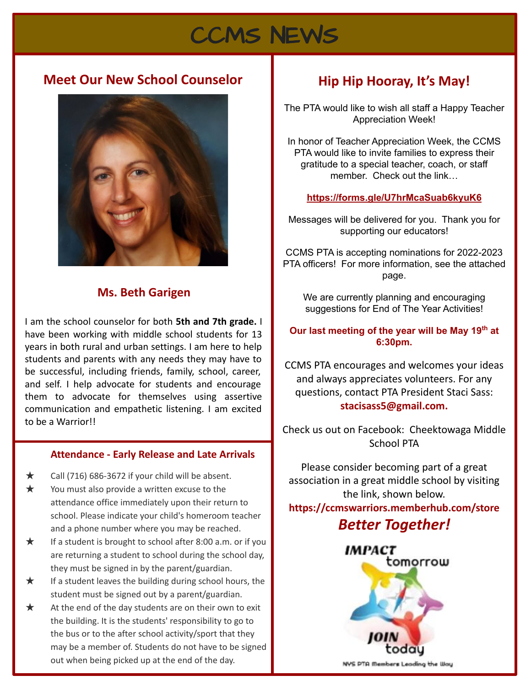# CCMS NEWS

#### **Meet Our New School Counselor**



#### **Ms. Beth Garigen**

I am the school counselor for both **5th and 7th grade.** I have been working with middle school students for 13 years in both rural and urban settings. I am here to help students and parents with any needs they may have to be successful, including friends, family, school, career, and self. I help advocate for students and encourage them to advocate for themselves using assertive communication and empathetic listening. I am excited to be a Warrior!!

#### **Attendance - Early Release and Late Arrivals**

- $\star$  Call (716) 686-3672 if your child will be absent.
- ★ You must also provide a written excuse to the attendance office immediately upon their return to school. Please indicate your child's homeroom teacher and a phone number where you may be reached.
- ★ If a student is brought to school after 8:00 a.m. or if you are returning a student to school during the school day, they must be signed in by the parent/guardian.
- ★ If a student leaves the building during school hours, the student must be signed out by a parent/guardian.
- $\star$  At the end of the day students are on their own to exit the building. It is the students' responsibility to go to the bus or to the after school activity/sport that they may be a member of. Students do not have to be signed out when being picked up at the end of the day.

### **Hip Hip Hooray, It's May!**

The PTA would like to wish all staff a Happy Teacher Appreciation Week!

In honor of Teacher Appreciation Week, the CCMS PTA would like to invite families to express their gratitude to a special teacher, coach, or staff member. Check out the link…

#### **<https://forms.gle/U7hrMcaSuab6kyuK6>**

Messages will be delivered for you. Thank you for supporting our educators!

CCMS PTA is accepting nominations for 2022-2023 PTA officers! For more information, see the attached page.

We are currently planning and encouraging suggestions for End of The Year Activities!

#### **Our last meeting of the year will be May 19th at 6:30pm.**

CCMS PTA encourages and welcomes your ideas and always appreciates volunteers. For any questions, contact PTA President Staci Sass: **[stacisass5@gmail.com](mailto:stacisass5@gmail.com).** 

Check us out on Facebook: Cheektowaga Middle School PTA

Please consider becoming part of a great association in a great middle school by visiting the link, shown below. **<https://ccmswarriors.memberhub.com/store>**

### *Better Together!*



NVS PTA Members Leading the Way